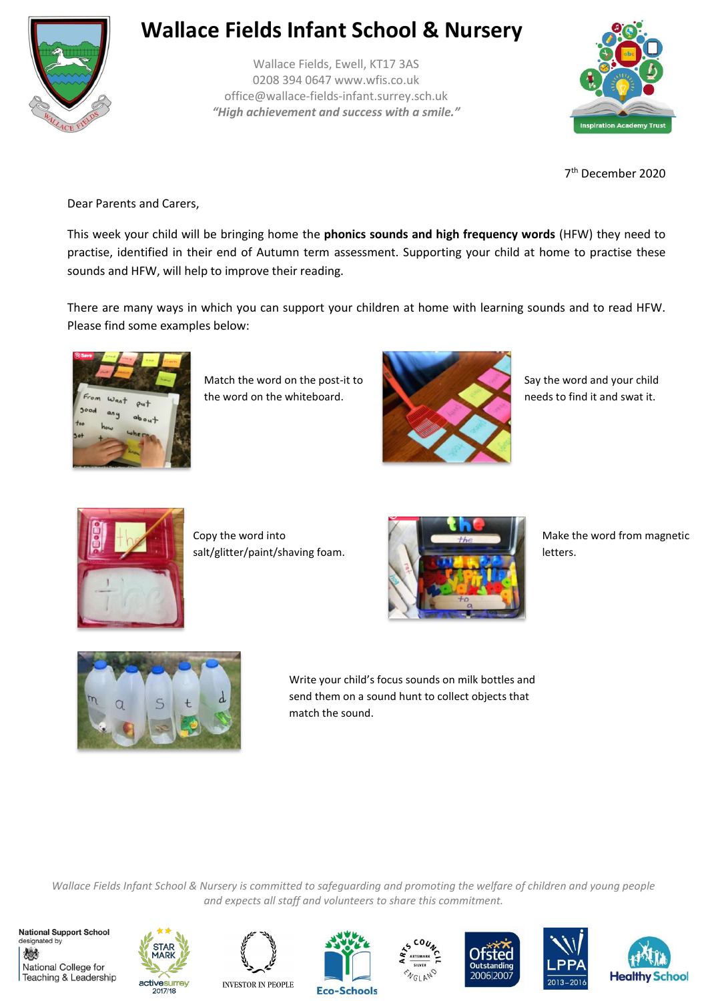

## **Wallace Fields Infant School & Nursery**

Wallace Fields, Ewell, KT17 3AS 0208 394 0647 www.wfis.co.uk office@wallace-fields-infant.surrey.sch.uk *"High achievement and success with a smile."*



7 th December 2020

Dear Parents and Carers,

This week your child will be bringing home the **phonics sounds and high frequency words** (HFW) they need to practise, identified in their end of Autumn term assessment. Supporting your child at home to practise these sounds and HFW, will help to improve their reading.

There are many ways in which you can support your children at home with learning sounds and to read HFW. Please find some examples below:



Match the word on the post-it to the word on the whiteboard.



Say the word and your child needs to find it and swat it.



Copy the word into salt/glitter/paint/shaving foam.



Make the word from magnetic letters.



Write your child's focus sounds on milk bottles and send them on a sound hunt to collect objects that match the sound.

*Wallace Fields Infant School & Nursery is committed to safeguarding and promoting the welfare of children and young people and expects all staff and volunteers to share this commitment.*

**National Support School** designated by 燃 National College for Teaching & Leadership